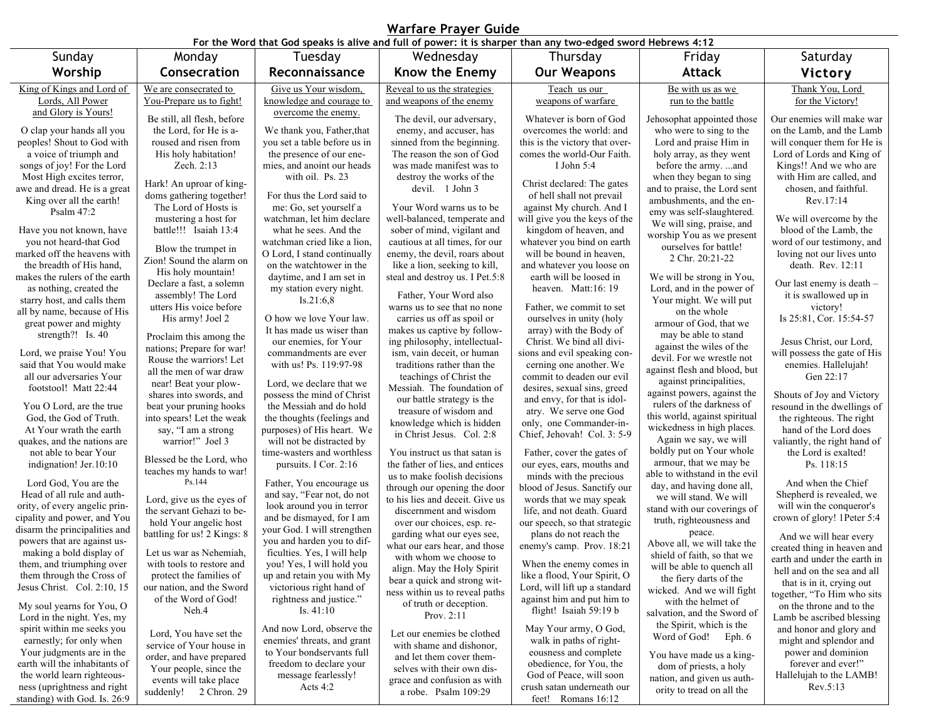| For the Word that God speaks is alive and full of power: it is sharper than any two-edged sword Hebrews 4:12 |                                                     |                                                          |                                                          |                                                             |                                                          |                                                       |  |  |  |
|--------------------------------------------------------------------------------------------------------------|-----------------------------------------------------|----------------------------------------------------------|----------------------------------------------------------|-------------------------------------------------------------|----------------------------------------------------------|-------------------------------------------------------|--|--|--|
| Sunday                                                                                                       | Monday                                              | Tuesday                                                  | Wednesday                                                | Thursday                                                    | Friday                                                   | Saturday                                              |  |  |  |
| Worship                                                                                                      | Consecration                                        | Reconnaissance                                           | Know the Enemy                                           | <b>Our Weapons</b>                                          | <b>Attack</b>                                            | Victory                                               |  |  |  |
| King of Kings and Lord of                                                                                    | We are consecrated to                               | Give us Your wisdom,                                     | Reveal to us the strategies                              | Teach us our                                                | Be with us as we                                         | Thank You, Lord                                       |  |  |  |
| Lords, All Power                                                                                             | You-Prepare us to fight!                            | knowledge and courage to                                 | and weapons of the enemy                                 | weapons of warfare                                          | run to the battle                                        | for the Victory!                                      |  |  |  |
| and Glory is Yours!                                                                                          | Be still, all flesh, before                         | overcome the enemy.                                      | The devil, our adversary,                                | Whatever is born of God                                     | Jehosophat appointed those                               | Our enemies will make war                             |  |  |  |
| O clap your hands all you                                                                                    | the Lord, for He is a-                              | We thank you, Father, that                               | enemy, and accuser, has                                  | overcomes the world: and                                    | who were to sing to the                                  | on the Lamb, and the Lamb                             |  |  |  |
| peoples! Shout to God with                                                                                   | roused and risen from                               | you set a table before us in                             | sinned from the beginning.                               | this is the victory that over-                              | Lord and praise Him in                                   | will conquer them for He is                           |  |  |  |
| a voice of triumph and                                                                                       | His holy habitation!                                | the presence of our ene-                                 | The reason the son of God                                | comes the world-Our Faith.                                  | holy array, as they went                                 | Lord of Lords and King of                             |  |  |  |
| songs of joy! For the Lord                                                                                   | Zech. 2:13                                          | mies, and anoint our heads                               | was made manifest was to                                 | I John $5:4$                                                | before the army. and                                     | Kings!! And we who are                                |  |  |  |
| Most High excites terror,                                                                                    | Hark! An uproar of king-                            | with oil. Ps. 23                                         | destroy the works of the                                 | Christ declared: The gates                                  | when they began to sing                                  | with Him are called, and                              |  |  |  |
| awe and dread. He is a great                                                                                 | doms gathering together!                            | For thus the Lord said to                                | devil. 1 John 3                                          | of hell shall not prevail                                   | and to praise, the Lord sent                             | chosen, and faithful.                                 |  |  |  |
| King over all the earth!                                                                                     | The Lord of Hosts is                                | me: Go, set yourself a                                   | Your Word warns us to be.                                | against My church. And I                                    | ambushments, and the en-                                 | Rev.17:14                                             |  |  |  |
| Psalm $47:2$                                                                                                 | mustering a host for                                | watchman, let him declare                                | well-balanced, temperate and                             | will give you the keys of the                               | emy was self-slaughtered.<br>We will sing, praise, and   | We will overcome by the                               |  |  |  |
| Have you not known, have                                                                                     | battle!!! Isaiah 13:4                               | what he sees. And the                                    | sober of mind, vigilant and                              | kingdom of heaven, and                                      | worship You as we present                                | blood of the Lamb, the                                |  |  |  |
| you not heard-that God                                                                                       | Blow the trumpet in                                 | watchman cried like a lion,                              | cautious at all times, for our                           | whatever you bind on earth                                  | ourselves for battle!                                    | word of our testimony, and                            |  |  |  |
| marked off the heavens with                                                                                  | Zion! Sound the alarm on                            | O Lord, I stand continually                              | enemy, the devil, roars about                            | will be bound in heaven,                                    | 2 Chr. 20:21-22                                          | loving not our lives unto                             |  |  |  |
| the breadth of His hand,                                                                                     | His holy mountain!                                  | on the watchtower in the                                 | like a lion, seeking to kill,                            | and whatever you loose on                                   |                                                          | death. Rev. 12:11                                     |  |  |  |
| makes the rulers of the earth                                                                                | Declare a fast, a solemn                            | daytime, and I am set in                                 | steal and destroy us. I Pet.5:8                          | earth will be loosed in<br>heaven. Matt:16:19               | We will be strong in You,                                | Our last enemy is death -                             |  |  |  |
| as nothing, created the<br>starry host, and calls them                                                       | assembly! The Lord                                  | my station every night.<br>Is.21:6,8                     | Father, Your Word also                                   |                                                             | Lord, and in the power of<br>Your might. We will put     | it is swallowed up in                                 |  |  |  |
| all by name, because of His                                                                                  | utters His voice before                             |                                                          | warns us to see that no none                             | Father, we commit to set                                    | on the whole                                             | victory!                                              |  |  |  |
| great power and mighty                                                                                       | His army! Joel 2                                    | O how we love Your law.                                  | carries us off as spoil or                               | ourselves in unity (holy                                    | armour of God, that we                                   | Is 25:81, Cor. 15:54-57                               |  |  |  |
| strength?! Is. 40                                                                                            | Proclaim this among the                             | It has made us wiser than                                | makes us captive by follow-                              | array) with the Body of                                     | may be able to stand                                     |                                                       |  |  |  |
|                                                                                                              | nations; Prepare for war!                           | our enemies, for Your                                    | ing philosophy, intellectual-                            | Christ. We bind all divi-                                   | against the wiles of the                                 | Jesus Christ, our Lord,                               |  |  |  |
| Lord, we praise You! You<br>said that You would make                                                         | Rouse the warriors! Let                             | commandments are ever<br>with us! Ps. 119:97-98          | ism, vain deceit, or human<br>traditions rather than the | sions and evil speaking con-<br>cerning one another. We     | devil. For we wrestle not                                | will possess the gate of His<br>enemies. Hallelujah!  |  |  |  |
| all our adversaries Your                                                                                     | all the men of war draw                             |                                                          | teachings of Christ the                                  | commit to deaden our evil                                   | against flesh and blood, but                             | Gen 22:17                                             |  |  |  |
| footstool! Matt 22:44                                                                                        | near! Beat your plow-                               | Lord, we declare that we                                 | Messiah. The foundation of                               | desires, sexual sins, greed                                 | against principalities,                                  |                                                       |  |  |  |
|                                                                                                              | shares into swords, and                             | possess the mind of Christ                               | our battle strategy is the                               | and envy, for that is idol-                                 | against powers, against the<br>rulers of the darkness of | Shouts of Joy and Victory                             |  |  |  |
| You O Lord, are the true                                                                                     | beat your pruning hooks                             | the Messiah and do hold                                  | treasure of wisdom and                                   | atry. We serve one God                                      | this world, against spiritual                            | resound in the dwellings of                           |  |  |  |
| God, the God of Truth.<br>At Your wrath the earth                                                            | into spears! Let the weak<br>say, "I am a strong    | the thoughts (feelings and<br>purposes) of His heart. We | knowledge which is hidden                                | only, one Commander-in-                                     | wickedness in high places.                               | the righteous. The right<br>hand of the Lord does     |  |  |  |
| quakes, and the nations are                                                                                  | warrior!" Joel 3                                    | will not be distracted by                                | in Christ Jesus. Col. 2:8                                | Chief, Jehovah! Col. 3: 5-9                                 | Again we say, we will                                    | valiantly, the right hand of                          |  |  |  |
| not able to bear Your                                                                                        |                                                     | time-wasters and worthless                               | You instruct us that satan is                            | Father, cover the gates of                                  | boldly put on Your whole                                 | the Lord is exalted!                                  |  |  |  |
| indignation! Jer.10:10                                                                                       | Blessed be the Lord, who                            | pursuits. I Cor. 2:16                                    | the father of lies, and entices                          | our eyes, ears, mouths and                                  | armour, that we may be                                   | Ps. 118:15                                            |  |  |  |
|                                                                                                              | teaches my hands to war!<br>Ps.144                  |                                                          | us to make foolish decisions                             | minds with the precious                                     | able to withstand in the evil                            |                                                       |  |  |  |
| Lord God, You are the<br>Head of all rule and auth-                                                          |                                                     | Father, You encourage us<br>and say, "Fear not, do not   | through our opening the door                             | blood of Jesus. Sanctify our                                | day, and having done all,                                | And when the Chief<br>Shepherd is revealed, we        |  |  |  |
| ority, of every angelic prin-                                                                                | Lord, give us the eyes of                           | look around you in terror                                | to his lies and deceit. Give us                          | words that we may speak                                     | we will stand. We will<br>stand with our coverings of    | will win the conqueror's                              |  |  |  |
| cipality and power, and You                                                                                  | the servant Gehazi to be-<br>hold Your angelic host | and be dismayed, for I am                                | discernment and wisdom                                   | life, and not death. Guard                                  | truth, righteousness and                                 | crown of glory! 1Peter 5:4                            |  |  |  |
| disarm the principalities and                                                                                | battling for us! 2 Kings: 8                         | your God. I will strengthen                              | over our choices, esp. re-<br>garding what our eyes see, | our speech, so that strategic<br>plans do not reach the     | peace.                                                   |                                                       |  |  |  |
| powers that are against us-                                                                                  |                                                     | you and harden you to dif-                               | what our ears hear, and those                            | enemy's camp. Prov. 18:21                                   | Above all, we will take the                              | And we will hear every<br>created thing in heaven and |  |  |  |
| making a bold display of                                                                                     | Let us war as Nehemiah,                             | ficulties. Yes, I will help                              | with whom we choose to                                   |                                                             | shield of faith, so that we                              | earth and under the earth in                          |  |  |  |
| them, and triumphing over                                                                                    | with tools to restore and                           | you! Yes, I will hold you                                | align. May the Holy Spirit                               | When the enemy comes in                                     | will be able to quench all                               | hell and on the sea and all                           |  |  |  |
| them through the Cross of<br>Jesus Christ. Col. 2:10, 15                                                     | protect the families of                             | up and retain you with My                                | bear a quick and strong wit-                             | like a flood, Your Spirit, O                                | the fiery darts of the                                   | that is in it, crying out                             |  |  |  |
|                                                                                                              | our nation, and the Sword<br>of the Word of God!    | victorious right hand of<br>rightness and justice."      | ness within us to reveal paths                           | Lord, will lift up a standard<br>against him and put him to | wicked. And we will fight                                | together, "To Him who sits                            |  |  |  |
| My soul yearns for You, O                                                                                    | Neh.4                                               | Is. $41:10$                                              | of truth or deception.                                   | flight! Isaiah 59:19 b                                      | with the helmet of                                       | on the throne and to the                              |  |  |  |
| Lord in the night. Yes, my                                                                                   |                                                     |                                                          | Prov. $2:11$                                             |                                                             | salvation, and the Sword of<br>the Spirit, which is the  | Lamb be ascribed blessing                             |  |  |  |
| spirit within me seeks you                                                                                   | Lord, You have set the                              | And now Lord, observe the                                | Let our enemies be clothed                               | May Your army, O God,                                       | Word of God! Eph. 6                                      | and honor and glory and                               |  |  |  |
| earnestly; for only when                                                                                     | service of Your house in                            | enemies' threats, and grant                              | with shame and dishonor.                                 | walk in paths of right-                                     |                                                          | might and splendor and                                |  |  |  |
| Your judgments are in the<br>earth will the inhabitants of                                                   | order, and have prepared                            | to Your bondservants full<br>freedom to declare your     | and let them cover them-                                 | eousness and complete<br>obedience, for You, the            | You have made us a king-                                 | power and dominion<br>forever and ever!"              |  |  |  |
| the world learn righteous-                                                                                   | Your people, since the                              | message fearlessly!                                      | selves with their own dis-                               | God of Peace, will soon                                     | dom of priests, a holy                                   | Hallelujah to the LAMB!                               |  |  |  |
| ness (uprightness and right                                                                                  | events will take place                              | Acts $4:2$                                               | grace and confusion as with                              | crush satan underneath our                                  | nation, and given us auth-<br>ority to tread on all the  | Rev.5:13                                              |  |  |  |
| standing) with God. Is. 26:9                                                                                 | suddenly! 2 Chron. 29                               |                                                          | a robe. Psalm 109:29                                     | feet! Romans 16:12                                          |                                                          |                                                       |  |  |  |